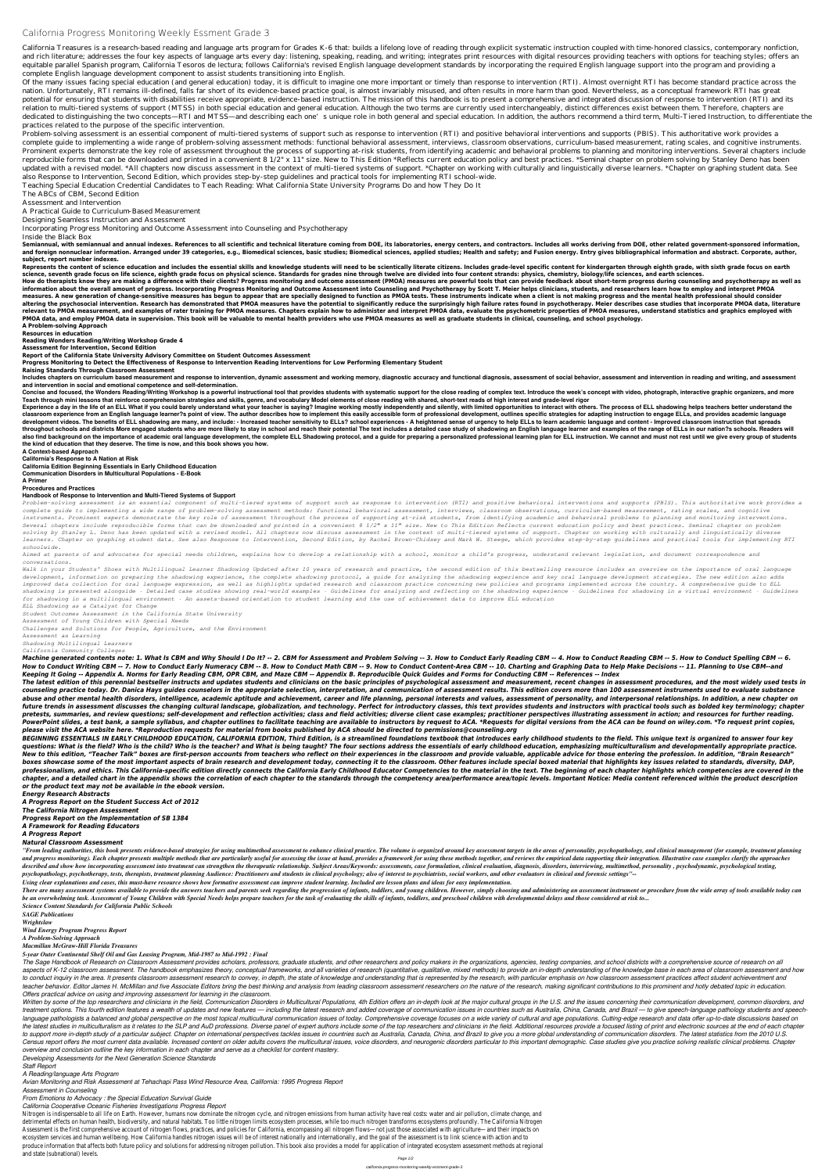# **California Progress Monitoring Weekly Essment Grade 3**

California Treasures is a research-based reading and language arts program for Grades K-6 that: builds a lifelong love of reading through explicit systematic instruction coupled with time-honored classics, contemporary non and rich literature; addresses the four key aspects of language arts every day: listening, speaking, reading, and writing; integrates print resources with digital resources providing teachers with options for teaching styl equitable parallel Spanish program, California Tesoros de lectura; follows California's revised English language development standards by incorporating the required English language support into the program and providing a complete English language development component to assist students transitioning into English.

Of the many issues facing special education (and general education) today, it is difficult to imagine one more important or timely than response to intervention (RTI). Almost overnight RTI has become standard practice acro nation. Unfortunately, RTI remains ill-defined, falls far short of its evidence-based practice goal, is almost invariably misused, and often results in more harm than good. Nevertheless, as a conceptual framework RTI has g potential for ensuring that students with disabilities receive appropriate, evidence-based instruction. The mission of this handbook is to present a comprehensive and integrated discussion of response to intervention (RTI) relation to multi-tiered systems of support (MTSS) in both special education and general education. Although the two terms are currently used interchangeably, distinct differences exist between them. Therefore, chapters are dedicated to distinguishing the two concepts—RTI and MTSS—and describing each one's unique role in both general and special education. In addition, the authors recommend a third term, Multi-Tiered Instruction, to different practices related to the purpose of the specific intervention.

Semiannual. with semiannual and annual indexes. References to all scientific and technical literature coming from DOE, its laboratories, energy centers, and contractors. Includes all works deriving from DOE, other related and foreign nonnuclear information. Arranged under 39 categories, e.g., Biomedical sciences, basic studies; Biomedical sciences, applied studies; Health and safety; and Fusion energy. Entry gives bibliographical informatio **subject, report number indexes.**

Represents the content of science education and includes the essential skills and knowledge students will need to be scientically literate citizens. Includes grade-level specific content for kindergarten through eighth gra science, seventh grade focus on life science, eighth grade focus on physical science. Standards for grades nine through twelve are divided into four content strands; physics, chemistry, biology/life sciences, and earth sci

Problem-solving assessment is an essential component of multi-tiered systems of support such as response to intervention (RTI) and positive behavioral interventions and supports (PBIS). This authoritative work provides a complete guide to implementing a wide range of problem-solving assessment methods: functional behavioral assessment, interviews, classroom observations, curriculum-based measurement, rating scales, and cognitive instruments. Prominent experts demonstrate the key role of assessment throughout the process of supporting at-risk students, from identifying academic and behavioral problems to planning and monitoring interventions. Several chapters i reproducible forms that can be downloaded and printed in a convenient 8 1/2" x 11" size. New to This Edition \*Reflects current education policy and best practices. \*Seminal chapter on problem solving by Stanley Deno has been updated with a revised model. \*All chapters now discuss assessment in the context of multi-tiered systems of support. \*Chapter on working with culturally and linguistically diverse learners. \*Chapter on graphing student da also Response to Intervention, Second Edition, which provides step-by-step guidelines and practical tools for implementing RTI school-wide.

How do therapists know they are making a difference with their clients? Progress monitoring and outcome assessment (PMOA) measures are powerful tools that can provide feedback about short-term progress during counseling an information about the overall amount of progress. Incorporating Progress Monitoring and Outcome Assessment into Counseling and Psychotherapy by Scott T. Meier helps clinicians, students, and researchers learn how to employ measures. A new generation of change-sensitive measures has begun to appear that are specially designed to function as PMOA tests. These instruments indicate when a client is not making progress and the mental health profe altering the psychosocial intervention. Research has demonstrated that PMOA measures have the potential to significantly reduce the surprisingly high failure rates found in psychotherapy. Meier describes case studies that relevant to PMOA measurement, and examples of rater training for PMOA measures. Chapters explain how to administer and interpret PMOA data, evaluate the psychometric properties of PMOA measures, understand statistics and g **PMOA data, and employ PMOA data in supervision. This book will be valuable to mental health providers who use PMOA measures as well as graduate students in clinical, counseling, and school psychology.**

Teaching Special Education Credential Candidates to Teach Reading: What California State University Programs Do and how They Do It

The ABCs of CBM, Second Edition

Includes chapters on curriculum based measurement and response to intervention, dynamic assessment and working memory, diagnostic accuracy and functional diagnosis, assessment of social behavior, assessment and interventio **and intervention in social and emotional competence and self-determination.**

Assessment and Intervention

A Practical Guide to Curriculum-Based Measurement

Designing Seamless Instruction and Assessment

Incorporating Progress Monitoring and Outcome Assessment into Counseling and Psychotherapy

Inside the Black Box

Concise and focused, the Wonders Reading/Writing Workshop is a powerful instructional tool that provides students with systematic support for the close reading of complex text. Introduce the week's concept with video, phot **Teach through mini lessons that reinforce comprehension strategies and skills, genre, and vocabulary Model elements of close reading with shared, short-text reads of high interest and grade-level rigor**

Experience a day in the life of an ELL What if you could barely understand what your teacher is saying? Imagine working mostly independently and silently, with limited opportunities to interact with others. The process of classroom experience from an English language learner?s point of view. The author describes how to implement this easily accessible form of professional development, outlines specific strategies for adapting instruction to development videos. The benefits of ELL shadowing are many, and include: - Increased teacher sensitivity to ELLs? school experiences - A heightened sense of urgency to help ELLs to learn academic language and content - Imp throughout schools and districts More engaged students who are more likely to stay in school and reach their potential The text includes a detailed case study of shadowing an English language learner and examples of the ra also find background on the importance of academic oral language development, the complete ELL Shadowing protocol, and a guide for preparing a personalized professional learning plan for ELL instruction. We cannot and must

Problem-solving assessment is an essential component of multi-tiered systems of support such as response to intervention (RTI) and positive behavioral interventions and supports (PBIS). This authoritative work provides a *complete guide to implementing a wide range of problem-solving assessment methods: functional behavioral assessment, interviews, classroom observations, curriculum-based measurement, rating scales, and cognitive instruments. Prominent experts demonstrate the key role of assessment throughout the process of supporting at-risk students, from identifying academic and behavioral problems to planning and monitoring interventions. Several chapters include reproducible forms that can be downloaded and printed in a convenient 8 1/2" x 11" size. New to This Edition Reflects current education policy and best practices. Seminal chapter on problem solving by Stanley L. Deno has been updated with a revised model. All chapters now discuss assessment in the context of multi-tiered systems of support. Chapter on working with culturally and linguistically diverse* learners. Chapter on graphing student data. See also Response to Intervention, Second Edition, by Rachel Brown-Chidsey and Mark W. Steege, which provides step-by-step guidelines and practical tools for implementing RTI *schoolwide.*

**A Problem-solving Approach**

**Resources in education**

**Reading Wonders Reading/Writing Workshop Grade 4**

**Assessment for Intervention, Second Edition**

Machine generated contents note: 1. What Is CBM and Why Should I Do It? -- 2. CBM for Assessment and Problem Solving -- 3. How to Conduct Early Reading CBM -- 4. How to Conduct Reading CBM -- 5. How to Conduct Spelling CBM How to Conduct Writing CBM -- 7. How to Conduct Early Numeracy CBM -- 8. How to Conduct Math CBM -- 9. How to Conduct Content-Area CBM -- 10. Charting and Graphing Data to Help Make Decisions -- 11. Planning to Use CBM--an *Keeping It Going -- Appendix A. Norms for Early Reading CBM, OPR CBM, and Maze CBM -- Appendix B. Reproducible Quick Guides and Forms for Conducting CBM -- References -- Index*

**Report of the California State University Advisory Committee on Student Outcomes Assessment**

**Progress Monitoring to Detect the Effectiveness of Response to Intervention Reading Interventions for Low Performing Elementary Student**

**Raising Standards Through Classroom Assessment**

The latest edition of this perennial bestseller instructs and updates students and clinicians on the basic principles of psychological assessment and measurement, recent changes in assessment procedures, and the most widel counseling practice today. Dr. Danica Hays guides counselors in the appropriate selection, interpretation, and communication of assessment results. This edition covers more than 100 assessment instruments used to evaluate abuse and other mental health disorders, intelligence, academic aptitude and achievement, career and life planning, personal interests and values, assessment of personality, and interpersonal relationships. In addition, a future trends in assessment discusses the changing cultural landscape, globalization, and technology. Perfect for introductory classes, this text provides students and instructors with practical tools such as bolded key te pretests, summaries, and review questions; self-development and reflection activities; class and field activities; diverse client case examples; practitioner perspectives illustrating assessment in action; and resources fo PowerPoint slides, a test bank, a sample syllabus, and chapter outlines to facilitate teaching are available to instructors by request to ACA. \*Requests for digital versions from the ACA can be found on wiley.com. \*To requ *please visit the ACA website here. \*Reproduction requests for material from books published by ACA should be directed to permissions@counseling.org*

BEGINNING ESSENTIALS IN EARLY CHILDHOOD EDUCATION, CALIFORNIA EDITION, Third Edition, is a streamlined foundations textbook that introduces early childhood students to the field. This unique text is organized to answer fou questions: What is the field? Who is the child? Who is the teacher? and What is being taught? The four sections address the essentials of early childhood education, emphasizing multiculturalism and developmentally appropri New to this edition, "Teacher Talk" boxes are first-person accounts from teachers who reflect on their experiences in the classroom and provide valuable, applicable advice for those entering the profession. In addition, "B boxes showcase some of the most important aspects of brain research and development today, connecting it to the classroom. Other features include special boxed material that highlights key issues related to standards, dive professionalism, and ethics. This California-specific edition directly connects the California Early Childhood Educator Competencies to the material in the text. The beginning of each chapter highlights which competencies chapter, and a detailed chart in the appendix shows the correlation of each chapter to the standards through the competency area/performance area/topic levels. Important Notice: Media content referenced within the product *or the product text may not be available in the ebook version.*

#### **the kind of education that they deserve. The time is now, and this book shows you how. A Context-based Approach California's Response to A Nation at Risk California Edition Beginning Essentials in Early Childhood Education Communication Disorders in Multicultural Populations - E-Book A Primer Procedures and Practices**

#### **Handbook of Response to Intervention and Multi-Tiered Systems of Support**

The Sage Handbook of Research on Classroom Assessment provides scholars, professors, graduate students, and other researchers and policy makers in the organizations, agencies, testing companies, and school districts with a aspects of K-12 classroom assessment. The handbook emphasizes theory, conceptual frameworks, and all varieties of research (quantitative, qualitative, mixed methods) to provide an in-depth understanding of the knowledge ba to conduct inquiry in the area. It presents classroom assessment research to convey, in depth, the state of knowledge and understanding that is represented by the research, with particular emphasis on how classroom assessm teacher behavior. Editor James H. McMillan and five Associate Editors bring the best thinking and analysis from leading classroom assessment researchers on the nature of the research, making significant contributions to th *Offers practical advice on using and improving assessment for learning in the classroom.*

Written by some of the top researchers and clinicians in the field, Communication Disorders in Multicultural Populations, 4th Edition offers an in-depth look at the major cultural groups in the U.S. and the issues concerni treatment options. This fourth edition features a wealth of updates and new features — including the latest research and added coverage of communication issues in countries such as Australia, China, Canada, and Brazil — to language pathologists a balanced and global perspective on the most topical multicultural communication issues of today. Comprehensive coverage focuses on a wide variety of cultural and age populations. Cutting-edge resear the latest studies in multiculturalism as it relates to the SLP and AuD professions. Diverse panel of expert authors include some of the top researchers and clinicians in the field. Additional resources provide a focused l to support more in-depth study of a particular subject. Chapter on international perspectives tackles issues in countries such as Australia, Canada, China, and Brazil to give you a more global understanding of communicatio Census report offers the most current data available. Increased content on older adults covers the multicultural issues, voice disorders, and neurogenic disorders particular to this important demographic. Case studies give *overview and conclusion outline the key information in each chapter and serve as a checklist for content mastery.*

*Aimed at parents of and advocates for special needs children, explains how to develop a relationship with a school, monitor a child's progress, understand relevant legislation, and document correspondence and conversations.*

*Walk in your Students' Shoes with Multilingual Learner Shadowing Updated after 10 years of research and practice, the second edition of this bestselling resource includes an overview on the importance of oral language development, information on preparing the shadowing experience, the complete shadowing protocol, a guide for analyzing the shadowing experience and key oral language development strategies. The new edition also adds improved data collection for oral language expression, as well as highlights updated research and classroom practice concerning new policies and programs implemented across the country. A comprehensive guide to ELL* shadowing is presented alongside · Detailed case studies showing real-world examples · Guidelines for shadowing experience · Guidelines for shadowing in a virtual environment · Guidelines *for shadowing in a multilingual environment · An assets-based orientation to student learning and the use of achievement data to improve ELL education*

*ELL Shadowing as a Catalyst for Change Student Outcomes Assessment in the California State University Assessment of Young Children with Special Needs Challenges and Solutions for People, Agriculture, and the Environment Assessment as Learning*

*Shadowing Multilingual Learners California Community Colleges*

*Energy Research Abstracts A Progress Report on the Student Success Act of 2012 The California Nitrogen Assessment*

*Progress Report on the Implementation of SB 1384*

*A Framework for Reading Educators*

*A Progress Report*

*Natural Classroom Assessment*

"From leading authorities, this book presents evidence-based strategies for using multimethod assessment to enhance clinical practice. The volume is organized around key assessment targets in the areas of personality, psyc and progress monitoring). Each chapter presents multiple methods that are particularly useful for assessing the issue at hand, provides a framework for using these methods together, and reviews the empirical data supportin described and show how incorporating assessment into treatment can strengthen the therapeutic relationship. Subject Areas/Keywords: assessments, case formulation, diagnosis, disamagis, disorders, interviewing, multimethod, psychopathology, psychotherapy, tests, therapists, treatment planning Audience: Practitioners and students in clinical psychology; also of interest to psychiatrists, social workers, and other evaluators in clinical and for

*Using clear explanations and cases, this must-have resource shows how formative assessment can improve student learning. Included are lesson plans and ideas for easy implementation.*

There are many assessment systems available to provide the answers teachers and parents seek regarding the progression of infants, toddlers, and young children. However, simply choosing and administering an assessment inst be an overwhelming task. Assessment of Young Children with Special Needs helps prepare teachers for the task of evaluating the skills of infants, toddlers, and preschool children with developmental delays and those conside

*Science Content Standards for California Public Schools*

*SAGE Publications*

*Wrightslaw*

*Wind Energy Program Progress Report*

*A Problem-Solving Approach*

*Macmillan McGraw-Hill Florida Treasures*

*5-year Outer Continental Shelf Oil and Gas Leasing Program, Mid-1987 to Mid-1992 : Final*

*Developing Assessments for the Next Generation Science Standards*

*Staff Report*

*A Reading/language Arts Program*

*Avian Monitoring and Risk Assessment at Tehachapi Pass Wind Resource Area, California: 1995 Progress Report*

*Assessment in Counseling*

*From Emotions to Advocacy : the Special Education Survival Guide*

## *California Cooperative Oceanic Fisheries Investigations Progress Report*

Nitrogen is indispensable to all life on Earth. However, humans now dominate the nitrogen cycle, and nitrogen emissions from human activity have real costs: water and air pollution, climate change, and detrimental effects on human health, biodiversity, and natural habitats. Too little nitrogen limits ecosystem processes, while too much nitrogen transforms ecosystems profoundly. The California Nitrogen Assessment is the first comprehensive account of nitrogen flows, practices, and policies for California, encompassing all nitrogen flows—not just those associated with agriculture—and their impacts on ecosystem services and human wellbeing. How California handles nitrogen issues will be of interest nationally and internationally, and the goal of the assessment is to link science with action and to produce information that affects both future policy and solutions for addressing nitrogen pollution. This book also provides a model for application of integrated ecosystem assessment methods at regional and state (subnational) levels.